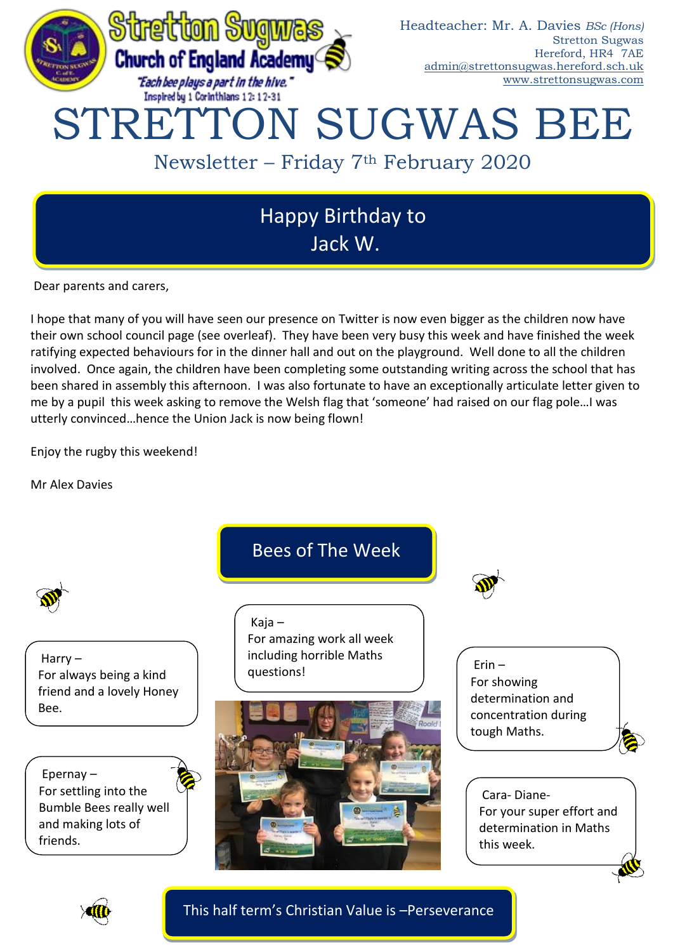

Jack W.

Dear parents and carers,

I hope that many of you will have seen our presence on Twitter is now even bigger as the children now have their own school council page (see overleaf). They have been very busy this week and have finished the week ratifying expected behaviours for in the dinner hall and out on the playground. Well done to all the children involved. Once again, the children have been completing some outstanding writing across the school that has been shared in assembly this afternoon. I was also fortunate to have an exceptionally articulate letter given to me by a pupil this week asking to remove the Welsh flag that 'someone' had raised on our flag pole…I was utterly convinced…hence the Union Jack is now being flown!

Enjoy the rugby this weekend!

Mr Alex Davies



## This half term's Christian Value is –Perseverance